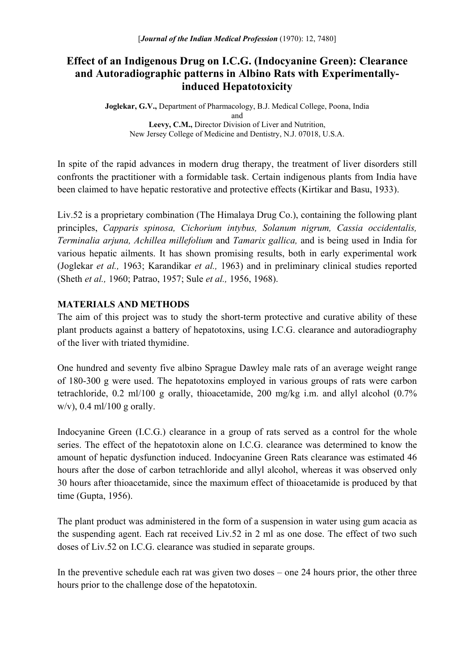# **Effect of an Indigenous Drug on I.C.G. (Indocyanine Green): Clearance and Autoradiographic patterns in Albino Rats with Experimentallyinduced Hepatotoxicity**

**Joglekar, G.V.,** Department of Pharmacology, B.J. Medical College, Poona, India and **Leevy, C.M.,** Director Division of Liver and Nutrition, New Jersey College of Medicine and Dentistry, N.J. 07018, U.S.A.

In spite of the rapid advances in modern drug therapy, the treatment of liver disorders still confronts the practitioner with a formidable task. Certain indigenous plants from India have been claimed to have hepatic restorative and protective effects (Kirtikar and Basu, 1933).

Liv.52 is a proprietary combination (The Himalaya Drug Co.), containing the following plant principles, *Capparis spinosa, Cichorium intybus, Solanum nigrum, Cassia occidentalis, Terminalia arjuna, Achillea millefolium* and *Tamarix gallica,* and is being used in India for various hepatic ailments. It has shown promising results, both in early experimental work (Joglekar *et al.,* 1963; Karandikar *et al.,* 1963) and in preliminary clinical studies reported (Sheth *et al.,* 1960; Patrao, 1957; Sule *et al.,* 1956, 1968).

### **MATERIALS AND METHODS**

The aim of this project was to study the short-term protective and curative ability of these plant products against a battery of hepatotoxins, using I.C.G. clearance and autoradiography of the liver with triated thymidine.

One hundred and seventy five albino Sprague Dawley male rats of an average weight range of 180-300 g were used. The hepatotoxins employed in various groups of rats were carbon tetrachloride, 0.2 ml/100 g orally, thioacetamide, 200 mg/kg i.m. and allyl alcohol (0.7% w/v),  $0.4$  ml/100 g orally.

Indocyanine Green (I.C.G.) clearance in a group of rats served as a control for the whole series. The effect of the hepatotoxin alone on I.C.G. clearance was determined to know the amount of hepatic dysfunction induced. Indocyanine Green Rats clearance was estimated 46 hours after the dose of carbon tetrachloride and allyl alcohol, whereas it was observed only 30 hours after thioacetamide, since the maximum effect of thioacetamide is produced by that time (Gupta, 1956).

The plant product was administered in the form of a suspension in water using gum acacia as the suspending agent. Each rat received Liv.52 in 2 ml as one dose. The effect of two such doses of Liv.52 on I.C.G. clearance was studied in separate groups.

In the preventive schedule each rat was given two doses – one 24 hours prior, the other three hours prior to the challenge dose of the hepatotoxin.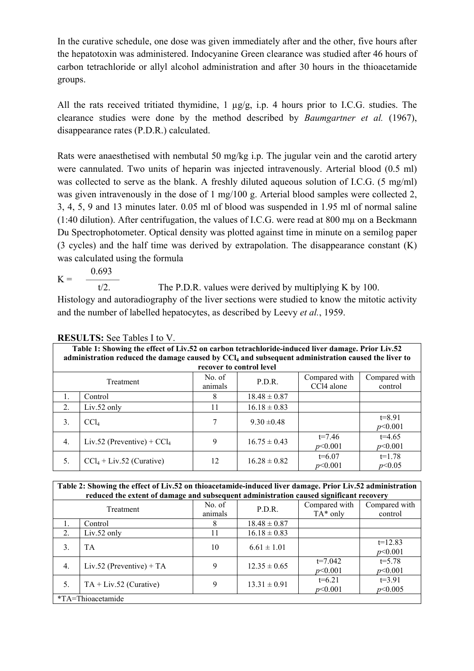In the curative schedule, one dose was given immediately after and the other, five hours after the hepatotoxin was administered. Indocyanine Green clearance was studied after 46 hours of carbon tetrachloride or allyl alcohol administration and after 30 hours in the thioacetamide groups.

All the rats received tritiated thymidine, 1 µg/g, i.p. 4 hours prior to I.C.G. studies. The clearance studies were done by the method described by *Baumgartner et al.* (1967), disappearance rates (P.D.R.) calculated.

Rats were anaesthetised with nembutal 50 mg/kg i.p. The jugular vein and the carotid artery were cannulated. Two units of heparin was injected intravenously. Arterial blood (0.5 ml) was collected to serve as the blank. A freshly diluted aqueous solution of I.C.G. (5 mg/ml) was given intravenously in the dose of 1 mg/100 g. Arterial blood samples were collected 2, 3, 4, 5, 9 and 13 minutes later. 0.05 ml of blood was suspended in 1.95 ml of normal saline (1:40 dilution). After centrifugation, the values of I.C.G. were read at 800 mµ on a Beckmann Du Spectrophotometer. Optical density was plotted against time in minute on a semilog paper (3 cycles) and the half time was derived by extrapolation. The disappearance constant (K) was calculated using the formula

 0.693  $K = \frac{1}{t/2}$ The P.D.R. values were derived by multiplying K by 100. Histology and autoradiography of the liver sections were studied to know the mitotic activity

and the number of labelled hepatocytes, as described by Leevy *et al.*, 1959.

| Table 1: Showing the effect of Liv.52 on carbon tetrachloride-induced liver damage. Prior Liv.52<br>administration reduced the damage caused by CCl <sub>4</sub> and subsequent administration caused the liver to |                                      |                   |                  |                             |                          |  |  |
|--------------------------------------------------------------------------------------------------------------------------------------------------------------------------------------------------------------------|--------------------------------------|-------------------|------------------|-----------------------------|--------------------------|--|--|
|                                                                                                                                                                                                                    | recover to control level             |                   |                  |                             |                          |  |  |
| Treatment                                                                                                                                                                                                          |                                      | No. of<br>animals | P.D.R.           | Compared with<br>CCl4 alone | Compared with<br>control |  |  |
| 1.                                                                                                                                                                                                                 | Control                              | 8                 | $18.48 \pm 0.87$ |                             |                          |  |  |
| 2.                                                                                                                                                                                                                 | $Liv.52$ only                        | 11                | $16.18 \pm 0.83$ |                             |                          |  |  |
| 3.                                                                                                                                                                                                                 | CCL                                  | 7                 | $9.30 \pm 0.48$  |                             | $t = 8.91$<br>p<0.001    |  |  |
| 4.                                                                                                                                                                                                                 | Liv.52 (Preventive) + $\text{CCl}_4$ | 9                 | $16.75 \pm 0.43$ | $t=7.46$<br>p<0.001         | $t=4.65$<br>p<0.001      |  |  |
| 5.                                                                                                                                                                                                                 | $CCl_4 + Liv.52$ (Curative)          | 12                | $16.28 \pm 0.82$ | $t=6.07$<br>p<0.001         | $t=1.78$<br>p<0.05       |  |  |

**RESULTS:** See Tables I to V.

| Table 2: Showing the effect of Liv.52 on thioacetamide-induced liver damage. Prior Liv.52 administration<br>reduced the extent of damage and subsequent administration caused significant recovery |                            |                   |                  |                              |                          |
|----------------------------------------------------------------------------------------------------------------------------------------------------------------------------------------------------|----------------------------|-------------------|------------------|------------------------------|--------------------------|
|                                                                                                                                                                                                    | Treatment                  | No. of<br>animals | P.D.R.           | Compared with<br>$TA^*$ only | Compared with<br>control |
|                                                                                                                                                                                                    | Control                    | 8                 | $18.48 \pm 0.87$ |                              |                          |
| 2.                                                                                                                                                                                                 | $Liv.52$ only              | 11                | $16.18 \pm 0.83$ |                              |                          |
| 3.                                                                                                                                                                                                 | TA                         | 10                | $6.61 \pm 1.01$  |                              | $t=12.83$<br>p<0.001     |
| 4.                                                                                                                                                                                                 | Liv.52 (Preventive) + $TA$ | 9                 | $12.35 \pm 0.65$ | $t=7.042$<br>p<0.001         | $t = 5.78$<br>p<0.001    |
| 5.                                                                                                                                                                                                 | $TA + Liv.52$ (Curative)   | 9                 | $13.31 \pm 0.91$ | $t=6.21$<br>p<0.001          | $t=3.91$<br>p<0.005      |
| *TA=Thioacetamide                                                                                                                                                                                  |                            |                   |                  |                              |                          |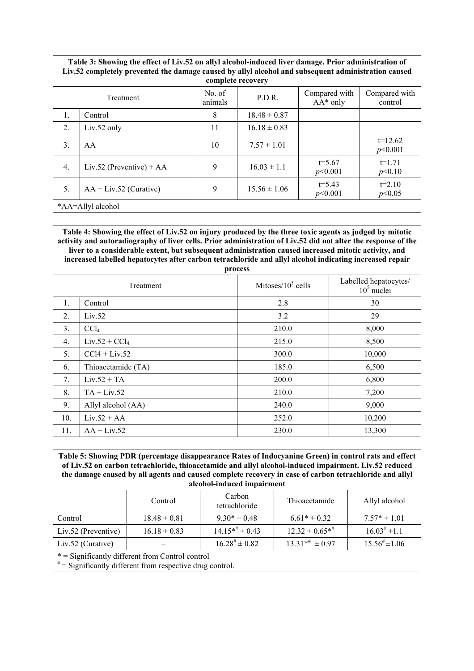| Table 3: Showing the effect of Liv.52 on allyl alcohol-induced liver damage. Prior administration of<br>Liv.52 completely prevented the damage caused by allyl alcohol and subsequent administration caused<br>complete recovery |                            |                   |                  |                              |                          |
|----------------------------------------------------------------------------------------------------------------------------------------------------------------------------------------------------------------------------------|----------------------------|-------------------|------------------|------------------------------|--------------------------|
| Treatment                                                                                                                                                                                                                        |                            | No. of<br>animals | P.D.R.           | Compared with<br>$AA^*$ only | Compared with<br>control |
| 1.                                                                                                                                                                                                                               | Control                    | 8                 | $18.48 \pm 0.87$ |                              |                          |
| 2.                                                                                                                                                                                                                               | $Liv.52$ only              | 11                | $16.18 \pm 0.83$ |                              |                          |
| 3.                                                                                                                                                                                                                               | AA                         | 10                | $7.57 \pm 1.01$  |                              | $t=12.62$<br>p<0.001     |
| $\overline{4}$ .                                                                                                                                                                                                                 | Liv.52 (Preventive) + $AA$ | 9                 | $16.03 \pm 1.1$  | $t = 5.67$<br>p<0.001        | $t=1.71$<br>p<0.10       |
| .5.                                                                                                                                                                                                                              | $AA + Liv.52$ (Curative)   | 9                 | $15.56 \pm 1.06$ | $t = 5.43$<br>p<0.001        | $t=2.10$<br>p<0.05       |
| *AA=Allyl alcohol                                                                                                                                                                                                                |                            |                   |                  |                              |                          |

**Table 4: Showing the effect of Liv.52 on injury produced by the three toxic agents as judged by mitotic activity and autoradiography of liver cells. Prior administration of Liv.52 did not alter the response of the liver to a considerable extent, but subsequent administration caused increased mitotic activity, and increased labelled hepatocytes after carbon tetrachloride and allyl alcohol indicating increased repair** 

| process          |                    |                       |                                       |  |  |
|------------------|--------------------|-----------------------|---------------------------------------|--|--|
| Treatment        |                    | Mitoses/ $10^5$ cells | Labelled hepatocytes/<br>$105$ nuclei |  |  |
| 1.               | Control            | 2.8                   | 30                                    |  |  |
| 2.               | Liv.52             | 3.2                   | 29                                    |  |  |
| 3.               | CCl <sub>4</sub>   | 210.0                 | 8,000                                 |  |  |
| $\overline{4}$ . | $Liv.52 + CCl4$    | 215.0                 | 8,500                                 |  |  |
| 5 <sub>1</sub>   | $CCI4 + Liv.52$    | 300.0                 | 10,000                                |  |  |
| 6.               | Thioacetamide (TA) | 185.0                 | 6,500                                 |  |  |
| 7.               | $Liv.52 + TA$      | 200.0                 | 6,800                                 |  |  |
| 8.               | $TA + Liv.52$      | 210.0                 | 7,200                                 |  |  |
| 9.               | Allyl alcohol (AA) | 240.0                 | 9,000                                 |  |  |
| 10.              | $Liv.52 + AA$      | 252.0                 | 10,200                                |  |  |
| 11.              | $AA + Liv.52$      | 230.0                 | 13,300                                |  |  |

| Table 5: Showing PDR (percentage disappearance Rates of Indocyanine Green) in control rats and effect<br>of Liv.52 on carbon tetrachloride, thioacetamide and allyl alcohol-induced impairment. Liv.52 reduced<br>the damage caused by all agents and caused complete recovery in case of carbon tetrachloride and allyl<br>alcohol-induced impairment |                  |                         |                                 |                             |  |
|--------------------------------------------------------------------------------------------------------------------------------------------------------------------------------------------------------------------------------------------------------------------------------------------------------------------------------------------------------|------------------|-------------------------|---------------------------------|-----------------------------|--|
|                                                                                                                                                                                                                                                                                                                                                        | Control          | Carbon<br>tetrachloride | Thioacetamide                   | Allyl alcohol               |  |
| Control                                                                                                                                                                                                                                                                                                                                                | $18.48 \pm 0.81$ | $9.30* \pm 0.48$        | $6.61* \pm 0.32$                | $7.57* \pm 1.01$            |  |
| Liv.52 (Preventive)                                                                                                                                                                                                                                                                                                                                    | $16.18 \pm 0.83$ | $14.15**^{\#} \pm 0.43$ | $12.32 \pm 0.65$ * <sup>#</sup> | $16.03^{\#} \pm 1.1$        |  |
| Liv.52 (Curative)                                                                                                                                                                                                                                                                                                                                      |                  | $16.28^{\#} \pm 0.82$   | $13.31**^{\#} \pm 0.97$         | $15.56^{\text{*}} \pm 1.06$ |  |
| * = Significantly different from Control control<br>$*$ = Significantly different from respective drug control.                                                                                                                                                                                                                                        |                  |                         |                                 |                             |  |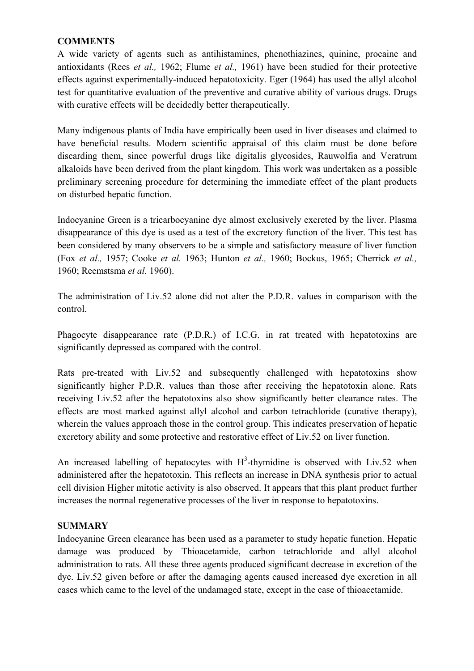### **COMMENTS**

A wide variety of agents such as antihistamines, phenothiazines, quinine, procaine and antioxidants (Rees *et al.,* 1962; Flume *et al.,* 1961) have been studied for their protective effects against experimentally-induced hepatotoxicity. Eger (1964) has used the allyl alcohol test for quantitative evaluation of the preventive and curative ability of various drugs. Drugs with curative effects will be decidedly better therapeutically.

Many indigenous plants of India have empirically been used in liver diseases and claimed to have beneficial results. Modern scientific appraisal of this claim must be done before discarding them, since powerful drugs like digitalis glycosides, Rauwolfia and Veratrum alkaloids have been derived from the plant kingdom. This work was undertaken as a possible preliminary screening procedure for determining the immediate effect of the plant products on disturbed hepatic function.

Indocyanine Green is a tricarbocyanine dye almost exclusively excreted by the liver. Plasma disappearance of this dye is used as a test of the excretory function of the liver. This test has been considered by many observers to be a simple and satisfactory measure of liver function (Fox *et al.,* 1957; Cooke *et al.* 1963; Hunton *et al.,* 1960; Bockus, 1965; Cherrick *et al.,* 1960; Reemstsma *et al.* 1960).

The administration of Liv.52 alone did not alter the P.D.R. values in comparison with the control.

Phagocyte disappearance rate (P.D.R.) of I.C.G. in rat treated with hepatotoxins are significantly depressed as compared with the control.

Rats pre-treated with Liv.52 and subsequently challenged with hepatotoxins show significantly higher P.D.R. values than those after receiving the hepatotoxin alone. Rats receiving Liv.52 after the hepatotoxins also show significantly better clearance rates. The effects are most marked against allyl alcohol and carbon tetrachloride (curative therapy), wherein the values approach those in the control group. This indicates preservation of hepatic excretory ability and some protective and restorative effect of Liv.52 on liver function.

An increased labelling of hepatocytes with  $H^3$ -thymidine is observed with Liv.52 when administered after the hepatotoxin. This reflects an increase in DNA synthesis prior to actual cell division Higher mitotic activity is also observed. It appears that this plant product further increases the normal regenerative processes of the liver in response to hepatotoxins.

## **SUMMARY**

Indocyanine Green clearance has been used as a parameter to study hepatic function. Hepatic damage was produced by Thioacetamide, carbon tetrachloride and allyl alcohol administration to rats. All these three agents produced significant decrease in excretion of the dye. Liv.52 given before or after the damaging agents caused increased dye excretion in all cases which came to the level of the undamaged state, except in the case of thioacetamide.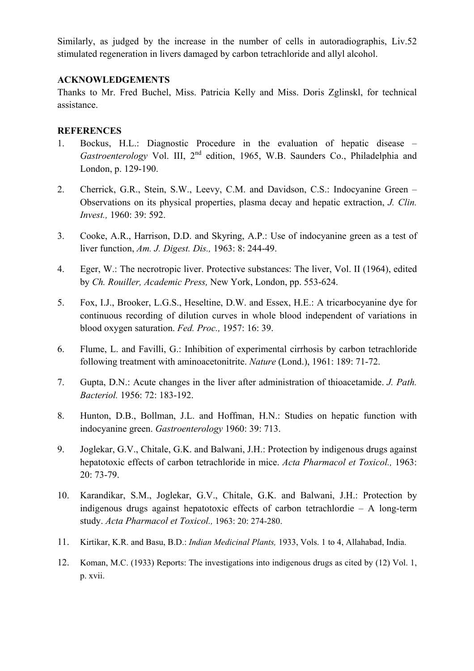Similarly, as judged by the increase in the number of cells in autoradiographis, Liv.52 stimulated regeneration in livers damaged by carbon tetrachloride and allyl alcohol.

### **ACKNOWLEDGEMENTS**

Thanks to Mr. Fred Buchel, Miss. Patricia Kelly and Miss. Doris Zglinskl, for technical assistance.

### **REFERENCES**

- 1. Bockus, H.L.: Diagnostic Procedure in the evaluation of hepatic disease *Gastroenterology* Vol. III, 2<sup>nd</sup> edition, 1965, W.B. Saunders Co., Philadelphia and London, p. 129-190.
- 2. Cherrick, G.R., Stein, S.W., Leevy, C.M. and Davidson, C.S.: Indocyanine Green Observations on its physical properties, plasma decay and hepatic extraction, *J. Clin. Invest.,* 1960: 39: 592.
- 3. Cooke, A.R., Harrison, D.D. and Skyring, A.P.: Use of indocyanine green as a test of liver function, *Am. J. Digest. Dis.,* 1963: 8: 244-49.
- 4. Eger, W.: The necrotropic liver. Protective substances: The liver, Vol. II (1964), edited by *Ch. Rouiller, Academic Press,* New York, London, pp. 553-624.
- 5. Fox, I.J., Brooker, L.G.S., Heseltine, D.W. and Essex, H.E.: A tricarbocyanine dye for continuous recording of dilution curves in whole blood independent of variations in blood oxygen saturation. *Fed. Proc.,* 1957: 16: 39.
- 6. Flume, L. and Favilli, G.: Inhibition of experimental cirrhosis by carbon tetrachloride following treatment with aminoacetonitrite. *Nature* (Lond.), 1961: 189: 71-72.
- 7. Gupta, D.N.: Acute changes in the liver after administration of thioacetamide. *J. Path. Bacteriol.* 1956: 72: 183-192.
- 8. Hunton, D.B., Bollman, J.L. and Hoffman, H.N.: Studies on hepatic function with indocyanine green. *Gastroenterology* 1960: 39: 713.
- 9. Joglekar, G.V., Chitale, G.K. and Balwani, J.H.: Protection by indigenous drugs against hepatotoxic effects of carbon tetrachloride in mice. *Acta Pharmacol et Toxicol.,* 1963: 20: 73-79.
- 10. Karandikar, S.M., Joglekar, G.V., Chitale, G.K. and Balwani, J.H.: Protection by indigenous drugs against hepatotoxic effects of carbon tetrachlordie – A long-term study. *Acta Pharmacol et Toxicol.,* 1963: 20: 274-280.
- 11. Kirtikar, K.R. and Basu, B.D.: *Indian Medicinal Plants,* 1933, Vols. 1 to 4, Allahabad, India.
- 12. Koman, M.C. (1933) Reports: The investigations into indigenous drugs as cited by (12) Vol. 1, p. xvii.